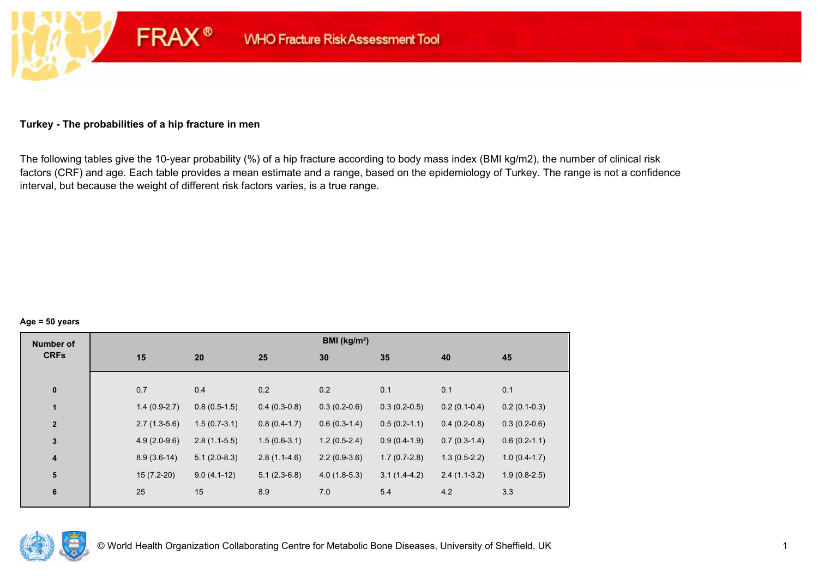## **Turkey - The probabilities of a hip fracture in men**

**FRAX®** 

The following tables give the 10-year probability (%) of a hip fracture according to body mass index (BMI kg/m2), the number of clinical risk factors (CRF) and age. Each table provides a mean estimate and a range, based on the epidemiology of Turkey. The range is not a confidence interval, but because the weight of different risk factors varies, is a true range.

#### **Age = 50 years**

| <b>Number of</b> |     |                |                |                | BMI (kg/m <sup>2</sup> ) |                |                |                |
|------------------|-----|----------------|----------------|----------------|--------------------------|----------------|----------------|----------------|
| <b>CRFs</b>      | 15  |                | 20             | 25             | 30                       | 35             | 40             | 45             |
|                  |     |                |                |                |                          |                |                |                |
| $\pmb{0}$        | 0.7 |                | 0.4            | 0.2            | 0.2                      | 0.1            | 0.1            | 0.1            |
| $\mathbf{1}$     |     | $1.4(0.9-2.7)$ | $0.8(0.5-1.5)$ | $0.4(0.3-0.8)$ | $0.3(0.2-0.6)$           | $0.3(0.2-0.5)$ | $0.2(0.1-0.4)$ | $0.2(0.1-0.3)$ |
| $\overline{2}$   |     | $2.7(1.3-5.6)$ | $1.5(0.7-3.1)$ | $0.8(0.4-1.7)$ | $0.6(0.3-1.4)$           | $0.5(0.2-1.1)$ | $0.4(0.2-0.8)$ | $0.3(0.2-0.6)$ |
| $\mathbf 3$      |     | $4.9(2.0-9.6)$ | $2.8(1.1-5.5)$ | $1.5(0.6-3.1)$ | $1.2(0.5-2.4)$           | $0.9(0.4-1.9)$ | $0.7(0.3-1.4)$ | $0.6(0.2-1.1)$ |
| 4                |     | $8.9(3.6-14)$  | $5.1(2.0-8.3)$ | $2.8(1.1-4.6)$ | $2.2(0.9-3.6)$           | $1.7(0.7-2.8)$ | $1.3(0.5-2.2)$ | $1.0(0.4-1.7)$ |
| 5                |     | $15(7.2-20)$   | $9.0(4.1-12)$  | $5.1(2.3-6.8)$ | $4.0(1.8-5.3)$           | $3.1(1.4-4.2)$ | $2.4(1.1-3.2)$ | $1.9(0.8-2.5)$ |
| $\bf 6$          | 25  |                | 15             | 8.9            | 7.0                      | 5.4            | 4.2            | 3.3            |
|                  |     |                |                |                |                          |                |                |                |

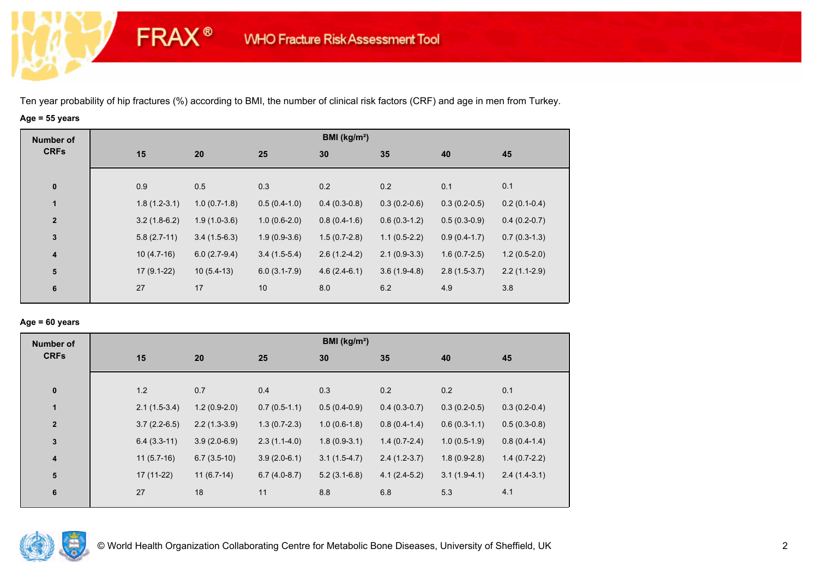**FRAX®** 

# **Age = 55 years**

| <b>Number of</b>        |                |                |                  | BMI (kg/m <sup>2</sup> ) |                |                |                |
|-------------------------|----------------|----------------|------------------|--------------------------|----------------|----------------|----------------|
| <b>CRFs</b>             | 15             | 20             | 25               | 30                       | 35             | 40             | 45             |
|                         |                |                |                  |                          |                |                |                |
| $\mathbf 0$             | 0.9            | 0.5            | 0.3              | 0.2                      | 0.2            | 0.1            | 0.1            |
| $\mathbf{1}$            | $1.8(1.2-3.1)$ | $1.0(0.7-1.8)$ | $0.5(0.4-1.0)$   | $0.4(0.3-0.8)$           | $0.3(0.2-0.6)$ | $0.3(0.2-0.5)$ | $0.2(0.1-0.4)$ |
| $\overline{2}$          | $3.2(1.8-6.2)$ | $1.9(1.0-3.6)$ | $1.0(0.6-2.0)$   | $0.8(0.4-1.6)$           | $0.6(0.3-1.2)$ | $0.5(0.3-0.9)$ | $0.4(0.2-0.7)$ |
| $\mathbf{3}$            | $5.8(2.7-11)$  | $3.4(1.5-6.3)$ | $1.9(0.9-3.6)$   | $1.5(0.7-2.8)$           | $1.1(0.5-2.2)$ | $0.9(0.4-1.7)$ | $0.7(0.3-1.3)$ |
| $\overline{\mathbf{4}}$ | $10(4.7-16)$   | $6.0(2.7-9.4)$ | $3.4(1.5-5.4)$   | $2.6(1.2-4.2)$           | $2.1(0.9-3.3)$ | $1.6(0.7-2.5)$ | $1.2(0.5-2.0)$ |
| 5                       | $17(9.1-22)$   | $10(5.4-13)$   | $6.0(3.1 - 7.9)$ | $4.6(2.4-6.1)$           | $3.6(1.9-4.8)$ | $2.8(1.5-3.7)$ | $2.2(1.1-2.9)$ |
| 6                       | 27             | 17             | 10               | 8.0                      | 6.2            | 4.9            | 3.8            |
|                         |                |                |                  |                          |                |                |                |

#### **Age = 60 years**

| <b>Number of</b>        |                |                |                | BMI ( $kg/m2$ ) |                |                |                |
|-------------------------|----------------|----------------|----------------|-----------------|----------------|----------------|----------------|
| <b>CRFs</b>             | 15             | 20             | 25             | 30              | 35             | 40             | 45             |
| $\pmb{0}$               | 1.2            | 0.7            | 0.4            | 0.3             | 0.2            | 0.2            | 0.1            |
| $\mathbf{1}$            | $2.1(1.5-3.4)$ | $1.2(0.9-2.0)$ | $0.7(0.5-1.1)$ | $0.5(0.4-0.9)$  | $0.4(0.3-0.7)$ | $0.3(0.2-0.5)$ | $0.3(0.2-0.4)$ |
| $\overline{2}$          | $3.7(2.2-6.5)$ | $2.2(1.3-3.9)$ | $1.3(0.7-2.3)$ | $1.0(0.6-1.8)$  | $0.8(0.4-1.4)$ | $0.6(0.3-1.1)$ | $0.5(0.3-0.8)$ |
| $\mathbf 3$             | $6.4(3.3-11)$  | $3.9(2.0-6.9)$ | $2.3(1.1-4.0)$ | $1.8(0.9-3.1)$  | $1.4(0.7-2.4)$ | $1.0(0.5-1.9)$ | $0.8(0.4-1.4)$ |
| $\overline{\mathbf{4}}$ | $11(5.7-16)$   | $6.7(3.5-10)$  | $3.9(2.0-6.1)$ | $3.1(1.5-4.7)$  | $2.4(1.2-3.7)$ | $1.8(0.9-2.8)$ | $1.4(0.7-2.2)$ |
| 5                       | 17 (11-22)     | $11(6.7-14)$   | $6.7(4.0-8.7)$ | $5.2(3.1-6.8)$  | $4.1(2.4-5.2)$ | $3.1(1.9-4.1)$ | $2.4(1.4-3.1)$ |
| 6                       | 27             | 18             | 11             | 8.8             | 6.8            | 5.3            | 4.1            |

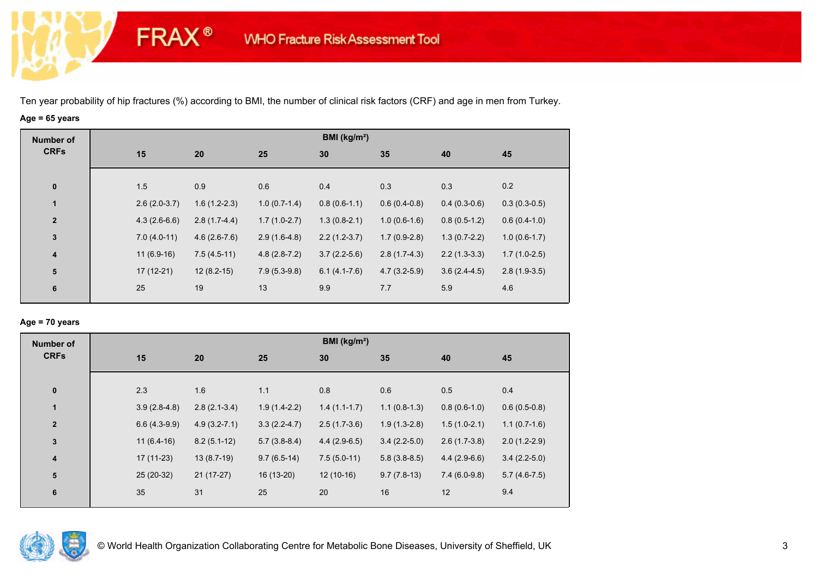**FRAX®** 

## **Age = 65 years**

| <b>Number of</b> |                |                |                | BMI ( $kg/m2$ ) |                |                |                |
|------------------|----------------|----------------|----------------|-----------------|----------------|----------------|----------------|
| <b>CRFs</b>      | 15             | 20             | 25             | 30              | 35             | 40             | 45             |
|                  |                |                |                |                 |                |                |                |
| $\mathbf 0$      | 1.5            | 0.9            | 0.6            | 0.4             | 0.3            | 0.3            | 0.2            |
| $\mathbf{1}$     | $2.6(2.0-3.7)$ | $1.6(1.2-2.3)$ | $1.0(0.7-1.4)$ | $0.8(0.6-1.1)$  | $0.6(0.4-0.8)$ | $0.4(0.3-0.6)$ | $0.3(0.3-0.5)$ |
| $\overline{2}$   | $4.3(2.6-6.6)$ | $2.8(1.7-4.4)$ | $1.7(1.0-2.7)$ | $1.3(0.8-2.1)$  | $1.0(0.6-1.6)$ | $0.8(0.5-1.2)$ | $0.6(0.4-1.0)$ |
| $\mathbf 3$      | $7.0(4.0-11)$  | $4.6(2.6-7.6)$ | $2.9(1.6-4.8)$ | $2.2(1.2-3.7)$  | $1.7(0.9-2.8)$ | $1.3(0.7-2.2)$ | $1.0(0.6-1.7)$ |
| $\boldsymbol{4}$ | $11(6.9-16)$   | $7.5(4.5-11)$  | $4.8(2.8-7.2)$ | $3.7(2.2-5.6)$  | $2.8(1.7-4.3)$ | $2.2(1.3-3.3)$ | $1.7(1.0-2.5)$ |
| ${\bf 5}$        | $17(12-21)$    | $12(8.2-15)$   | $7.9(5.3-9.8)$ | $6.1(4.1-7.6)$  | $4.7(3.2-5.9)$ | $3.6(2.4-4.5)$ | $2.8(1.9-3.5)$ |
| 6                | 25             | 19             | 13             | 9.9             | 7.7            | 5.9            | 4.6            |

## **Age = 70 years**

| <b>Number of</b>        |     |                |                  |                | BMI (kg/m <sup>2</sup> ) |                |                |                |
|-------------------------|-----|----------------|------------------|----------------|--------------------------|----------------|----------------|----------------|
| <b>CRFs</b>             | 15  |                | 20               | 25             | 30                       | 35             | 40             | 45             |
|                         |     |                |                  |                |                          |                |                |                |
| $\pmb{0}$               | 2.3 |                | 1.6              | 1.1            | 0.8                      | 0.6            | 0.5            | 0.4            |
| $\mathbf{1}$            |     | $3.9(2.8-4.8)$ | $2.8(2.1-3.4)$   | $1.9(1.4-2.2)$ | $1.4(1.1-1.7)$           | $1.1(0.8-1.3)$ | $0.8(0.6-1.0)$ | $0.6(0.5-0.8)$ |
| $\overline{2}$          |     | $6.6(4.3-9.9)$ | $4.9(3.2 - 7.1)$ | $3.3(2.2-4.7)$ | $2.5(1.7-3.6)$           | $1.9(1.3-2.8)$ | $1.5(1.0-2.1)$ | $1.1(0.7-1.6)$ |
| 3                       |     | $11(6.4-16)$   | $8.2(5.1-12)$    | $5.7(3.8-8.4)$ | $4.4(2.9-6.5)$           | $3.4(2.2-5.0)$ | $2.6(1.7-3.8)$ | $2.0(1.2-2.9)$ |
| $\overline{\mathbf{4}}$ |     | $17(11-23)$    | $13(8.7-19)$     | $9.7(6.5-14)$  | $7.5(5.0-11)$            | $5.8(3.8-8.5)$ | $4.4(2.9-6.6)$ | $3.4(2.2-5.0)$ |
| 5                       |     | 25 (20-32)     | $21(17-27)$      | 16 (13-20)     | $12(10-16)$              | $9.7(7.8-13)$  | $7.4(6.0-9.8)$ | $5.7(4.6-7.5)$ |
| 6                       | 35  |                | 31               | 25             | 20                       | 16             | 12             | 9.4            |
|                         |     |                |                  |                |                          |                |                |                |

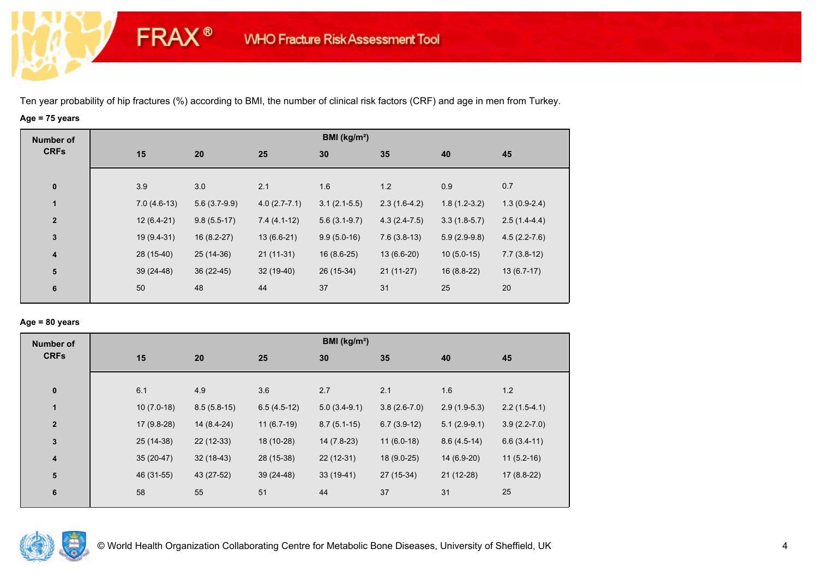**FRAX®** 

# **Age = 75 years**

| <b>Number of</b>        |               |                |                  | BMI ( $kg/m2$ ) |                |                |                |
|-------------------------|---------------|----------------|------------------|-----------------|----------------|----------------|----------------|
| <b>CRFs</b>             | 15            | 20             | 25               | 30              | 35             | 40             | 45             |
|                         |               |                |                  |                 |                |                |                |
| $\bf{0}$                | 3.9           | 3.0            | 2.1              | 1.6             | 1.2            | 0.9            | 0.7            |
| $\mathbf{1}$            | $7.0(4.6-13)$ | $5.6(3.7-9.9)$ | $4.0(2.7 - 7.1)$ | $3.1(2.1-5.5)$  | $2.3(1.6-4.2)$ | $1.8(1.2-3.2)$ | $1.3(0.9-2.4)$ |
| $\overline{2}$          | $12(6.4-21)$  | $9.8(5.5-17)$  | $7.4(4.1-12)$    | $5.6(3.1-9.7)$  | $4.3(2.4-7.5)$ | $3.3(1.8-5.7)$ | $2.5(1.4-4.4)$ |
| $\mathbf 3$             | 19 (9.4-31)   | $16(8.2-27)$   | $13(6.6-21)$     | $9.9(5.0-16)$   | $7.6(3.8-13)$  | $5.9(2.9-9.8)$ | $4.5(2.2-7.6)$ |
| $\overline{\mathbf{4}}$ | 28 (15-40)    | 25 (14-36)     | $21(11-31)$      | $16(8.6-25)$    | $13(6.6-20)$   | $10(5.0-15)$   | $7.7(3.8-12)$  |
| ${\bf 5}$               | $39(24-48)$   | 36 (22-45)     | $32(19-40)$      | 26 (15-34)      | $21(11-27)$    | $16(8.8-22)$   | $13(6.7-17)$   |
| 6                       | 50            | 48             | 44               | 37              | 31             | 25             | 20             |

## **Age = 80 years**

| <b>Number of</b> |              |               |               | BMI ( $kg/m2$ ) |                |                |                  |
|------------------|--------------|---------------|---------------|-----------------|----------------|----------------|------------------|
| <b>CRFs</b>      | 15           | 20            | 25            | 30              | 35             | 40             | 45               |
| $\pmb{0}$        | 6.1          | 4.9           | 3.6           | 2.7             | 2.1            | 1.6            | 1.2              |
| $\mathbf{1}$     | $10(7.0-18)$ | $8.5(5.8-15)$ | $6.5(4.5-12)$ | $5.0(3.4-9.1)$  | $3.8(2.6-7.0)$ | $2.9(1.9-5.3)$ | $2.2(1.5-4.1)$   |
| $\overline{2}$   | $17(9.8-28)$ | 14 (8.4-24)   | $11(6.7-19)$  | $8.7(5.1-15)$   | $6.7(3.9-12)$  | $5.1(2.9-9.1)$ | $3.9(2.2 - 7.0)$ |
| 3                | 25 (14-38)   | $22(12-33)$   | 18 (10-28)    | 14 (7.8-23)     | $11(6.0-18)$   | $8.6(4.5-14)$  | $6.6(3.4-11)$    |
| 4                | $35(20-47)$  | $32(18-43)$   | 28 (15-38)    | $22(12-31)$     | 18 (9.0-25)    | 14 (6.9-20)    | $11(5.2-16)$     |
| ${\bf 5}$        | 46 (31-55)   | 43 (27-52)    | $39(24-48)$   | $33(19-41)$     | 27 (15-34)     | $21(12-28)$    | $17(8.8-22)$     |
| 6                | 58           | 55            | 51            | 44              | 37             | 31             | 25               |